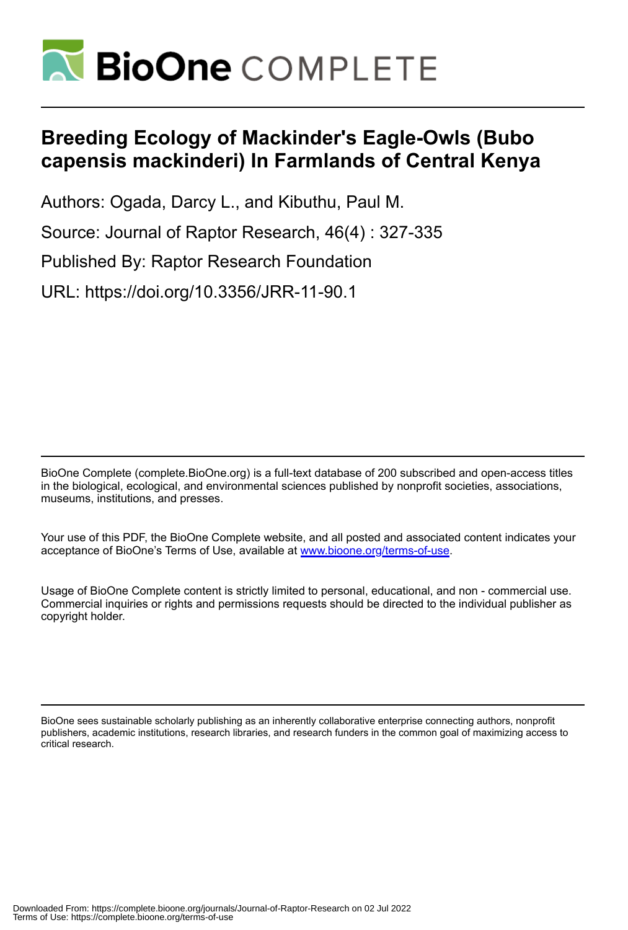

## **Breeding Ecology of Mackinder's Eagle-Owls (Bubo capensis mackinderi) In Farmlands of Central Kenya**

Authors: Ogada, Darcy L., and Kibuthu, Paul M.

Source: Journal of Raptor Research, 46(4) : 327-335

Published By: Raptor Research Foundation

URL: https://doi.org/10.3356/JRR-11-90.1

BioOne Complete (complete.BioOne.org) is a full-text database of 200 subscribed and open-access titles in the biological, ecological, and environmental sciences published by nonprofit societies, associations, museums, institutions, and presses.

Your use of this PDF, the BioOne Complete website, and all posted and associated content indicates your acceptance of BioOne's Terms of Use, available at www.bioone.org/terms-of-use.

Usage of BioOne Complete content is strictly limited to personal, educational, and non - commercial use. Commercial inquiries or rights and permissions requests should be directed to the individual publisher as copyright holder.

BioOne sees sustainable scholarly publishing as an inherently collaborative enterprise connecting authors, nonprofit publishers, academic institutions, research libraries, and research funders in the common goal of maximizing access to critical research.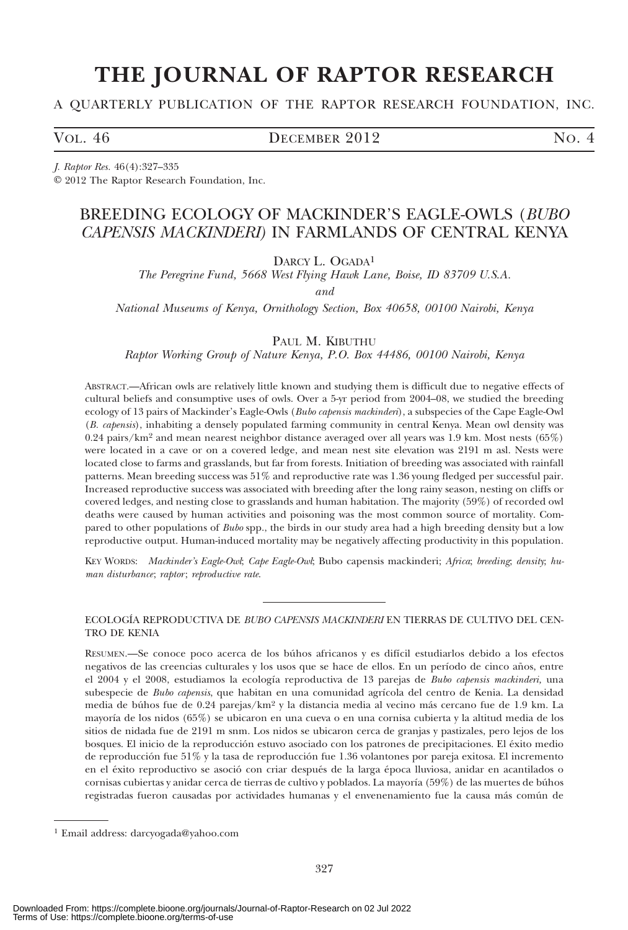# THE JOURNAL OF RAPTOR RESEARCH

### A QUARTERLY PUBLICATION OF THE RAPTOR RESEARCH FOUNDATION, INC.

VOL. 46 DECEMBER 2012 NO. 4

J. Raptor Res. 46(4):327–335 E 2012 The Raptor Research Foundation, Inc.

### BREEDING ECOLOGY OF MACKINDER'S EAGLE-OWLS (BUBO CAPENSIS MACKINDERI) IN FARMLANDS OF CENTRAL KENYA

DARCY L. OGADA1

The Peregrine Fund, 5668 West Flying Hawk Lane, Boise, ID 83709 U.S.A.

and

National Museums of Kenya, Ornithology Section, Box 40658, 00100 Nairobi, Kenya

PAUL M. KIBUTHU

Raptor Working Group of Nature Kenya, P.O. Box 44486, 00100 Nairobi, Kenya

ABSTRACT.—African owls are relatively little known and studying them is difficult due to negative effects of cultural beliefs and consumptive uses of owls. Over a 5-yr period from 2004–08, we studied the breeding ecology of 13 pairs of Mackinder's Eagle-Owls (Bubo capensis mackinderi), a subspecies of the Cape Eagle-Owl (B. capensis), inhabiting a densely populated farming community in central Kenya. Mean owl density was 0.24 pairs/km2 and mean nearest neighbor distance averaged over all years was 1.9 km. Most nests (65%) were located in a cave or on a covered ledge, and mean nest site elevation was 2191 m asl. Nests were located close to farms and grasslands, but far from forests. Initiation of breeding was associated with rainfall patterns. Mean breeding success was 51% and reproductive rate was 1.36 young fledged per successful pair. Increased reproductive success was associated with breeding after the long rainy season, nesting on cliffs or covered ledges, and nesting close to grasslands and human habitation. The majority (59%) of recorded owl deaths were caused by human activities and poisoning was the most common source of mortality. Compared to other populations of Bubo spp., the birds in our study area had a high breeding density but a low reproductive output. Human-induced mortality may be negatively affecting productivity in this population.

KEY WORDS: Mackinder's Eagle-Owl; Cape Eagle-Owl; Bubo capensis mackinderi; Africa; breeding; density; human disturbance; raptor; reproductive rate.

#### ECOLOGI´A REPRODUCTIVA DE BUBO CAPENSIS MACKINDERI EN TIERRAS DE CULTIVO DEL CEN-TRO DE KENIA

RESUMEN.—Se conoce poco acerca de los bu´hos africanos y es difı´cil estudiarlos debido a los efectos negativos de las creencias culturales y los usos que se hace de ellos. En un período de cinco años, entre el 2004 y el 2008, estudiamos la ecología reproductiva de 13 parejas de Bubo capensis mackinderi, una subespecie de Bubo capensis, que habitan en una comunidad agrícola del centro de Kenia. La densidad media de búhos fue de 0.24 parejas/km<sup>2</sup> y la distancia media al vecino más cercano fue de 1.9 km. La mayoría de los nidos (65%) se ubicaron en una cueva o en una cornisa cubierta y la altitud media de los sitios de nidada fue de 2191 m snm. Los nidos se ubicaron cerca de granjas y pastizales, pero lejos de los bosques. El inicio de la reproducción estuvo asociado con los patrones de precipitaciones. El éxito medio de reproducción fue 51% y la tasa de reproducción fue 1.36 volantones por pareja exitosa. El incremento en el éxito reproductivo se asoció con criar después de la larga época lluviosa, anidar en acantilados o cornisas cubiertas y anidar cerca de tierras de cultivo y poblados. La mayoría (59%) de las muertes de búhos registradas fueron causadas por actividades humanas y el envenenamiento fue la causa más común de

<sup>1</sup> Email address: darcyogada@yahoo.com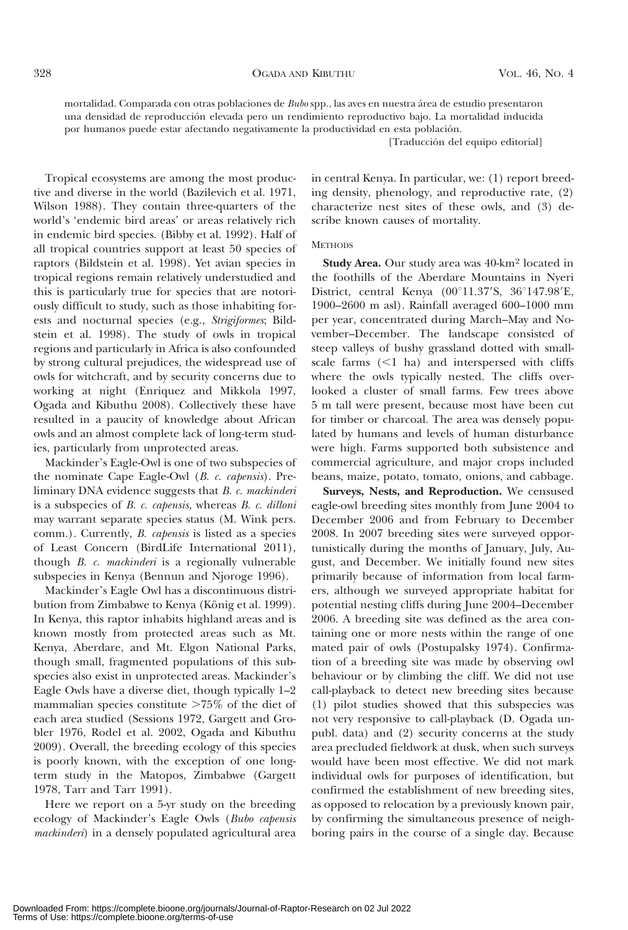mortalidad. Comparada con otras poblaciones de Bubo spp., las aves en nuestra área de estudio presentaron una densidad de reproduccio´n elevada pero un rendimiento reproductivo bajo. La mortalidad inducida por humanos puede estar afectando negativamente la productividad en esta población.

[Traducción del equipo editorial]

Tropical ecosystems are among the most productive and diverse in the world (Bazilevich et al. 1971, Wilson 1988). They contain three-quarters of the world's 'endemic bird areas' or areas relatively rich in endemic bird species. (Bibby et al. 1992). Half of all tropical countries support at least 50 species of raptors (Bildstein et al. 1998). Yet avian species in tropical regions remain relatively understudied and this is particularly true for species that are notoriously difficult to study, such as those inhabiting forests and nocturnal species (e.g., Strigiformes; Bildstein et al. 1998). The study of owls in tropical regions and particularly in Africa is also confounded by strong cultural prejudices, the widespread use of owls for witchcraft, and by security concerns due to working at night (Enriquez and Mikkola 1997, Ogada and Kibuthu 2008). Collectively these have resulted in a paucity of knowledge about African owls and an almost complete lack of long-term studies, particularly from unprotected areas.

Mackinder's Eagle-Owl is one of two subspecies of the nominate Cape Eagle-Owl (B. c. capensis). Preliminary DNA evidence suggests that B. c. mackinderi is a subspecies of B. c. capensis, whereas B. c. dilloni may warrant separate species status (M. Wink pers. comm.). Currently, B. capensis is listed as a species of Least Concern (BirdLife International 2011), though B. c. mackinderi is a regionally vulnerable subspecies in Kenya (Bennun and Njoroge 1996).

Mackinder's Eagle Owl has a discontinuous distribution from Zimbabwe to Kenya (König et al. 1999). In Kenya, this raptor inhabits highland areas and is known mostly from protected areas such as Mt. Kenya, Aberdare, and Mt. Elgon National Parks, though small, fragmented populations of this subspecies also exist in unprotected areas. Mackinder's Eagle Owls have a diverse diet, though typically 1–2 mammalian species constitute  $>75\%$  of the diet of each area studied (Sessions 1972, Gargett and Grobler 1976, Rodel et al. 2002, Ogada and Kibuthu 2009). Overall, the breeding ecology of this species is poorly known, with the exception of one longterm study in the Matopos, Zimbabwe (Gargett 1978, Tarr and Tarr 1991).

Here we report on a 5-yr study on the breeding ecology of Mackinder's Eagle Owls (Bubo capensis mackinderi) in a densely populated agricultural area

in central Kenya. In particular, we: (1) report breeding density, phenology, and reproductive rate, (2) characterize nest sites of these owls, and (3) describe known causes of mortality.

#### **METHODS**

Study Area. Our study area was 40-km2 located in the foothills of the Aberdare Mountains in Nyeri District, central Kenya (00 $^{\circ}11.37'S$ , 36 $^{\circ}147.98'E$ , 1900–2600 m asl). Rainfall averaged 600–1000 mm per year, concentrated during March–May and November–December. The landscape consisted of steep valleys of bushy grassland dotted with smallscale farms  $(<1$  ha) and interspersed with cliffs where the owls typically nested. The cliffs overlooked a cluster of small farms. Few trees above 5 m tall were present, because most have been cut for timber or charcoal. The area was densely populated by humans and levels of human disturbance were high. Farms supported both subsistence and commercial agriculture, and major crops included beans, maize, potato, tomato, onions, and cabbage.

Surveys, Nests, and Reproduction. We censused eagle-owl breeding sites monthly from June 2004 to December 2006 and from February to December 2008. In 2007 breeding sites were surveyed opportunistically during the months of January, July, August, and December. We initially found new sites primarily because of information from local farmers, although we surveyed appropriate habitat for potential nesting cliffs during June 2004–December 2006. A breeding site was defined as the area containing one or more nests within the range of one mated pair of owls (Postupalsky 1974). Confirmation of a breeding site was made by observing owl behaviour or by climbing the cliff. We did not use call-playback to detect new breeding sites because (1) pilot studies showed that this subspecies was not very responsive to call-playback (D. Ogada unpubl. data) and (2) security concerns at the study area precluded fieldwork at dusk, when such surveys would have been most effective. We did not mark individual owls for purposes of identification, but confirmed the establishment of new breeding sites, as opposed to relocation by a previously known pair, by confirming the simultaneous presence of neighboring pairs in the course of a single day. Because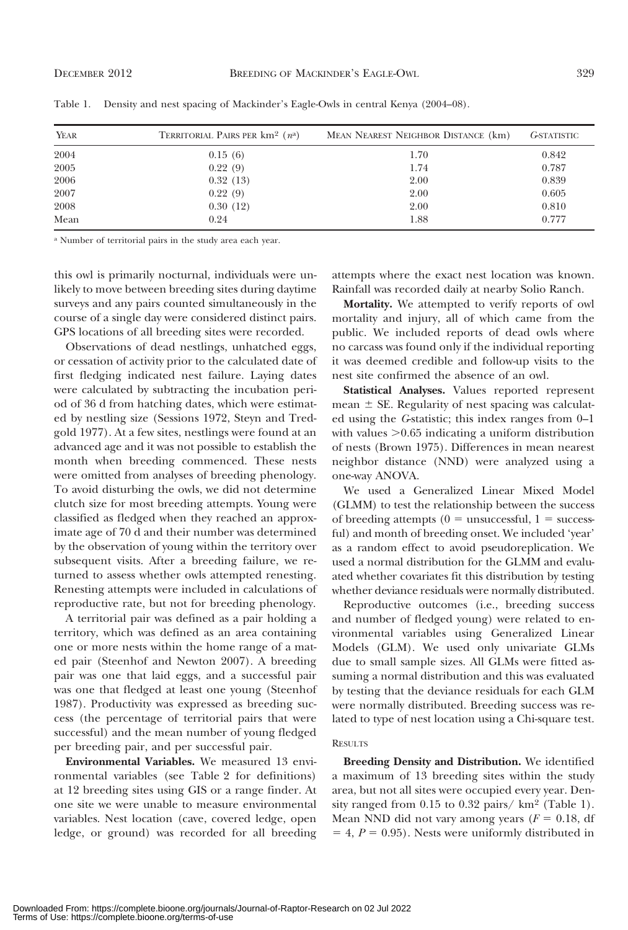| YEAR | <b>TERRITORIAL PAIRS PER km<sup>2</sup></b> $(n^a)$ | MEAN NEAREST NEIGHBOR DISTANCE (km) | G-STATISTIC |
|------|-----------------------------------------------------|-------------------------------------|-------------|
| 2004 | 0.15(6)                                             | 1.70                                | 0.842       |
| 2005 | 0.22(9)                                             | 1.74                                | 0.787       |
| 2006 | 0.32(13)                                            | 2.00                                | 0.839       |
| 2007 | 0.22(9)                                             | 2.00                                | 0.605       |
| 2008 | 0.30(12)                                            | 2.00                                | 0.810       |
| Mean | 0.24                                                | 1.88                                | 0.777       |

Table 1. Density and nest spacing of Mackinder's Eagle-Owls in central Kenya (2004–08).

<sup>a</sup> Number of territorial pairs in the study area each year.

this owl is primarily nocturnal, individuals were unlikely to move between breeding sites during daytime surveys and any pairs counted simultaneously in the course of a single day were considered distinct pairs. GPS locations of all breeding sites were recorded.

Observations of dead nestlings, unhatched eggs, or cessation of activity prior to the calculated date of first fledging indicated nest failure. Laying dates were calculated by subtracting the incubation period of 36 d from hatching dates, which were estimated by nestling size (Sessions 1972, Steyn and Tredgold 1977). At a few sites, nestlings were found at an advanced age and it was not possible to establish the month when breeding commenced. These nests were omitted from analyses of breeding phenology. To avoid disturbing the owls, we did not determine clutch size for most breeding attempts. Young were classified as fledged when they reached an approximate age of 70 d and their number was determined by the observation of young within the territory over subsequent visits. After a breeding failure, we returned to assess whether owls attempted renesting. Renesting attempts were included in calculations of reproductive rate, but not for breeding phenology.

A territorial pair was defined as a pair holding a territory, which was defined as an area containing one or more nests within the home range of a mated pair (Steenhof and Newton 2007). A breeding pair was one that laid eggs, and a successful pair was one that fledged at least one young (Steenhof 1987). Productivity was expressed as breeding success (the percentage of territorial pairs that were successful) and the mean number of young fledged per breeding pair, and per successful pair.

Environmental Variables. We measured 13 environmental variables (see Table 2 for definitions) at 12 breeding sites using GIS or a range finder. At one site we were unable to measure environmental variables. Nest location (cave, covered ledge, open ledge, or ground) was recorded for all breeding attempts where the exact nest location was known. Rainfall was recorded daily at nearby Solio Ranch.

Mortality. We attempted to verify reports of owl mortality and injury, all of which came from the public. We included reports of dead owls where no carcass was found only if the individual reporting it was deemed credible and follow-up visits to the nest site confirmed the absence of an owl.

Statistical Analyses. Values reported represent mean  $\pm$  SE. Regularity of nest spacing was calculated using the G-statistic; this index ranges from 0–1 with values  $\geq 0.65$  indicating a uniform distribution of nests (Brown 1975). Differences in mean nearest neighbor distance (NND) were analyzed using a one-way ANOVA.

We used a Generalized Linear Mixed Model (GLMM) to test the relationship between the success of breeding attempts ( $0 =$  unsuccessful,  $1 =$  successful) and month of breeding onset. We included 'year' as a random effect to avoid pseudoreplication. We used a normal distribution for the GLMM and evaluated whether covariates fit this distribution by testing whether deviance residuals were normally distributed.

Reproductive outcomes (i.e., breeding success and number of fledged young) were related to environmental variables using Generalized Linear Models (GLM). We used only univariate GLMs due to small sample sizes. All GLMs were fitted assuming a normal distribution and this was evaluated by testing that the deviance residuals for each GLM were normally distributed. Breeding success was related to type of nest location using a Chi-square test.

#### RESULTS

Breeding Density and Distribution. We identified a maximum of 13 breeding sites within the study area, but not all sites were occupied every year. Density ranged from 0.15 to 0.32 pairs/ km2 (Table 1). Mean NND did not vary among years ( $F = 0.18$ , df  $= 4, P = 0.95$ . Nests were uniformly distributed in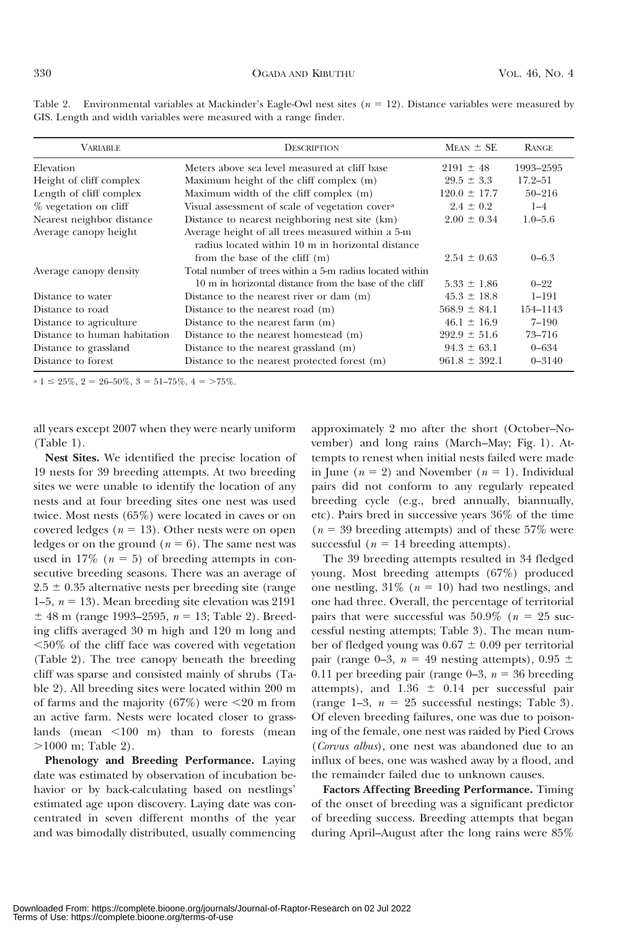| <b>VARIABLE</b>              | <b>DESCRIPTION</b>                                                                                                                       | $MEAN \pm SE$     | <b>RANGE</b> |
|------------------------------|------------------------------------------------------------------------------------------------------------------------------------------|-------------------|--------------|
| Elevation                    | Meters above sea level measured at cliff base.                                                                                           | $2191 \pm 48$     | 1993–2595    |
| Height of cliff complex      | Maximum height of the cliff complex (m)                                                                                                  | $29.5 \pm 3.3$    | $17.2 - 51$  |
| Length of cliff complex      | Maximum width of the cliff complex (m)                                                                                                   | $120.0 \pm 17.7$  | $50 - 216$   |
| % vegetation on cliff        | Visual assessment of scale of vegetation covera                                                                                          | $2.4 \pm 0.2$     | $1 - 4$      |
| Nearest neighbor distance    | Distance to nearest neighboring nest site (km)                                                                                           | $2.00 \pm 0.34$   | $1.0 - 5.6$  |
| Average canopy height        | Average height of all trees measured within a 5-m<br>radius located within 10 m in horizontal distance<br>from the base of the cliff (m) | $2.54 \pm 0.63$   | $0 - 6.3$    |
| Average canopy density       | Total number of trees within a 5-m radius located within<br>10 m in horizontal distance from the base of the cliff                       | $5.33 \pm 1.86$   | $0 - 22$     |
| Distance to water            | Distance to the nearest river or dam (m)                                                                                                 | $45.3 \pm 18.8$   | $1 - 191$    |
| Distance to road             | Distance to the nearest road (m)                                                                                                         | $568.9 \pm 84.1$  | 154-1143     |
| Distance to agriculture      | Distance to the nearest farm (m)                                                                                                         | $46.1 \pm 16.9$   | $7 - 190$    |
| Distance to human habitation | Distance to the nearest homestead (m)                                                                                                    | $292.9 \pm 51.6$  | 73-716       |
| Distance to grassland        | Distance to the nearest grassland (m)                                                                                                    | $94.3 \pm 63.1$   | $0 - 634$    |
| Distance to forest           | Distance to the nearest protected forest (m)                                                                                             | $961.8 \pm 392.1$ | $0 - 3140$   |

Table 2. Environmental variables at Mackinder's Eagle-Owl nest sites  $(n = 12)$ . Distance variables were measured by GIS. Length and width variables were measured with a range finder.

 $a 1 \le 25\%, 2 = 26 - 50\%, 3 = 51 - 75\%, 4 = 75\%.$ 

all years except 2007 when they were nearly uniform (Table 1).

Nest Sites. We identified the precise location of 19 nests for 39 breeding attempts. At two breeding sites we were unable to identify the location of any nests and at four breeding sites one nest was used twice. Most nests (65%) were located in caves or on covered ledges ( $n = 13$ ). Other nests were on open ledges or on the ground ( $n = 6$ ). The same nest was used in 17% ( $n = 5$ ) of breeding attempts in consecutive breeding seasons. There was an average of  $2.5 \pm 0.35$  alternative nests per breeding site (range 1–5,  $n = 13$ ). Mean breeding site elevation was 2191  $\pm$  48 m (range 1993–2595,  $n = 13$ ; Table 2). Breeding cliffs averaged 30 m high and 120 m long and  $<$  50% of the cliff face was covered with vegetation (Table 2). The tree canopy beneath the breeding cliff was sparse and consisted mainly of shrubs (Table 2). All breeding sites were located within 200 m of farms and the majority  $(67%)$  were <20 m from an active farm. Nests were located closer to grasslands (mean  $\leq 100$  m) than to forests (mean  $>1000$  m; Table 2).

Phenology and Breeding Performance. Laying date was estimated by observation of incubation behavior or by back-calculating based on nestlings' estimated age upon discovery. Laying date was concentrated in seven different months of the year and was bimodally distributed, usually commencing

approximately 2 mo after the short (October–November) and long rains (March–May; Fig. 1). Attempts to renest when initial nests failed were made in June ( $n = 2$ ) and November ( $n = 1$ ). Individual pairs did not conform to any regularly repeated breeding cycle (e.g., bred annually, biannually, etc). Pairs bred in successive years 36% of the time  $(n = 39$  breeding attempts) and of these 57% were successful ( $n = 14$  breeding attempts).

The 39 breeding attempts resulted in 34 fledged young. Most breeding attempts (67%) produced one nestling,  $31\%$  ( $n = 10$ ) had two nestlings, and one had three. Overall, the percentage of territorial pairs that were successful was  $50.9\%$  ( $n = 25$  successful nesting attempts; Table 3). The mean number of fledged young was  $0.67 \pm 0.09$  per territorial pair (range 0–3,  $n = 49$  nesting attempts), 0.95  $\pm$ 0.11 per breeding pair (range 0–3,  $n = 36$  breeding attempts), and  $1.36 \pm 0.14$  per successful pair (range 1–3,  $n = 25$  successful nestings; Table 3). Of eleven breeding failures, one was due to poisoning of the female, one nest was raided by Pied Crows (Corvus albus), one nest was abandoned due to an influx of bees, one was washed away by a flood, and the remainder failed due to unknown causes.

Factors Affecting Breeding Performance. Timing of the onset of breeding was a significant predictor of breeding success. Breeding attempts that began during April–August after the long rains were 85%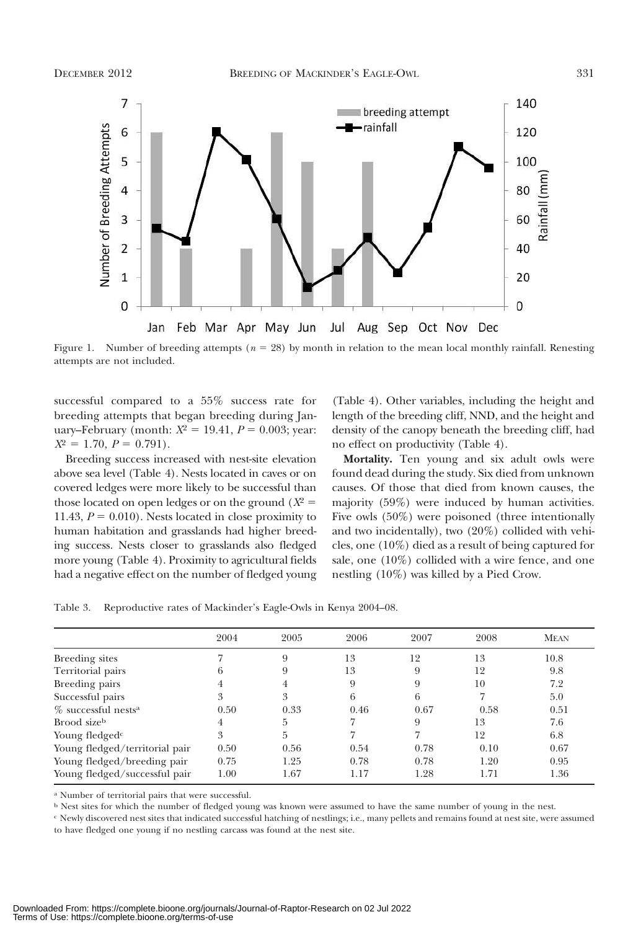

Figure 1. Number of breeding attempts  $(n = 28)$  by month in relation to the mean local monthly rainfall. Renesting attempts are not included.

successful compared to a 55% success rate for breeding attempts that began breeding during January–February (month:  $X^2 = 19.41$ ,  $P = 0.003$ ; year:  $X^2 = 1.70, P = 0.791$ .

Breeding success increased with nest-site elevation above sea level (Table 4). Nests located in caves or on covered ledges were more likely to be successful than those located on open ledges or on the ground  $(X^2 =$ 11.43,  $P = 0.010$ ). Nests located in close proximity to human habitation and grasslands had higher breeding success. Nests closer to grasslands also fledged more young (Table 4). Proximity to agricultural fields had a negative effect on the number of fledged young

(Table 4). Other variables, including the height and length of the breeding cliff, NND, and the height and density of the canopy beneath the breeding cliff, had no effect on productivity (Table 4).

Mortality. Ten young and six adult owls were found dead during the study. Six died from unknown causes. Of those that died from known causes, the majority (59%) were induced by human activities. Five owls (50%) were poisoned (three intentionally and two incidentally), two (20%) collided with vehicles, one (10%) died as a result of being captured for sale, one (10%) collided with a wire fence, and one nestling (10%) was killed by a Pied Crow.

Table 3. Reproductive rates of Mackinder's Eagle-Owls in Kenya 2004–08.

|                                   | 2004 | 2005 | 2006 | 2007 | 2008 | <b>MEAN</b> |
|-----------------------------------|------|------|------|------|------|-------------|
| Breeding sites                    |      | 9    | 13   | 12   | 13   | 10.8        |
| Territorial pairs                 | h    | 9    | 13   | 9    | 12   | 9.8         |
| Breeding pairs                    | 4    | 4    | 9    | 9    | 10   | 7.2         |
| Successful pairs                  | 3    | 3    | 6    | 6    |      | 5.0         |
| $%$ successful nests <sup>a</sup> | 0.50 | 0.33 | 0.46 | 0.67 | 0.58 | 0.51        |
| Brood sizeb                       | 4    | 5    |      | 9    | 13   | 7.6         |
| Young fledged <sup>c</sup>        | 3    | 5    |      | ד    | 12   | 6.8         |
| Young fledged/territorial pair    | 0.50 | 0.56 | 0.54 | 0.78 | 0.10 | 0.67        |
| Young fledged/breeding pair       | 0.75 | 1.25 | 0.78 | 0.78 | 1.20 | 0.95        |
| Young fledged/successful pair     | 1.00 | 1.67 | 1.17 | 1.28 | 1.71 | 1.36        |

<sup>a</sup> Number of territorial pairs that were successful.

<sup>b</sup> Nest sites for which the number of fledged young was known were assumed to have the same number of young in the nest.

c Newly discovered nest sites that indicated successful hatching of nestlings; i.e., many pellets and remains found at nest site, were assumed to have fledged one young if no nestling carcass was found at the nest site.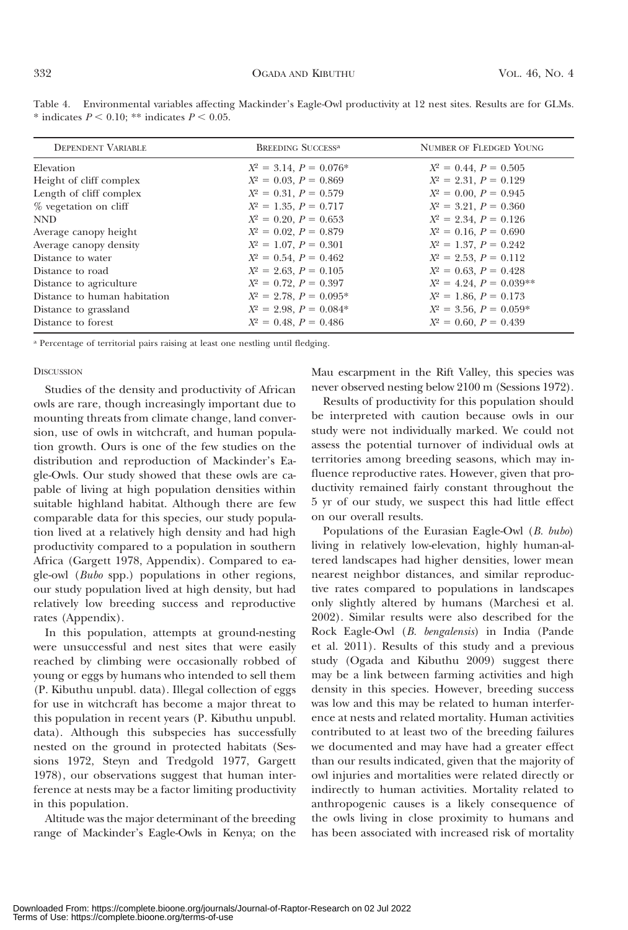| <b>DEPENDENT VARIABLE</b>    | <b>BREEDING SUCCESS<sup>a</sup></b> | <b>NUMBER OF FLEDGED YOUNG</b> |
|------------------------------|-------------------------------------|--------------------------------|
| Elevation                    | $X^2 = 3.14$ , $P = 0.076^*$        | $X^2 = 0.44$ , $P = 0.505$     |
| Height of cliff complex      | $X^2 = 0.03$ , $P = 0.869$          | $X^2 = 2.31, P = 0.129$        |
| Length of cliff complex      | $X^2 = 0.31, P = 0.579$             | $X^2 = 0.00, P = 0.945$        |
| % vegetation on cliff        | $X^2 = 1.35, P = 0.717$             | $X^2 = 3.21, P = 0.360$        |
| NND                          | $X^2 = 0.20$ , $P = 0.653$          | $X^2 = 2.34, P = 0.126$        |
| Average canopy height        | $X^2 = 0.02$ , $P = 0.879$          | $X^2 = 0.16$ , $P = 0.690$     |
| Average canopy density       | $X^2 = 1.07$ , $P = 0.301$          | $X^2 = 1.37$ , $P = 0.242$     |
| Distance to water            | $X^2 = 0.54$ , $P = 0.462$          | $X^2 = 2.53$ , $P = 0.112$     |
| Distance to road             | $X^2 = 2.63$ , $P = 0.105$          | $X^2 = 0.63$ , $P = 0.428$     |
| Distance to agriculture      | $X^2 = 0.72$ , $P = 0.397$          | $X^2 = 4.24$ , $P = 0.039**$   |
| Distance to human habitation | $X^2 = 2.78, P = 0.095^*$           | $X^2 = 1.86, P = 0.173$        |
| Distance to grassland        | $X^2 = 2.98$ , $P = 0.084*$         | $X^2 = 3.56, P = 0.059^*$      |
| Distance to forest           | $X^2 = 0.48$ , $P = 0.486$          | $X^2 = 0.60$ , $P = 0.439$     |

Table 4. Environmental variables affecting Mackinder's Eagle-Owl productivity at 12 nest sites. Results are for GLMs. \* indicates  $P < 0.10$ ; \*\* indicates  $P < 0.05$ .

a Percentage of territorial pairs raising at least one nestling until fledging.

#### **DISCUSSION**

Studies of the density and productivity of African owls are rare, though increasingly important due to mounting threats from climate change, land conversion, use of owls in witchcraft, and human population growth. Ours is one of the few studies on the distribution and reproduction of Mackinder's Eagle-Owls. Our study showed that these owls are capable of living at high population densities within suitable highland habitat. Although there are few comparable data for this species, our study population lived at a relatively high density and had high productivity compared to a population in southern Africa (Gargett 1978, Appendix). Compared to eagle-owl (Bubo spp.) populations in other regions, our study population lived at high density, but had relatively low breeding success and reproductive rates (Appendix).

In this population, attempts at ground-nesting were unsuccessful and nest sites that were easily reached by climbing were occasionally robbed of young or eggs by humans who intended to sell them (P. Kibuthu unpubl. data). Illegal collection of eggs for use in witchcraft has become a major threat to this population in recent years (P. Kibuthu unpubl. data). Although this subspecies has successfully nested on the ground in protected habitats (Sessions 1972, Steyn and Tredgold 1977, Gargett 1978), our observations suggest that human interference at nests may be a factor limiting productivity in this population.

Altitude was the major determinant of the breeding range of Mackinder's Eagle-Owls in Kenya; on the Mau escarpment in the Rift Valley, this species was never observed nesting below 2100 m (Sessions 1972).

Results of productivity for this population should be interpreted with caution because owls in our study were not individually marked. We could not assess the potential turnover of individual owls at territories among breeding seasons, which may influence reproductive rates. However, given that productivity remained fairly constant throughout the 5 yr of our study, we suspect this had little effect on our overall results.

Populations of the Eurasian Eagle-Owl (B. bubo) living in relatively low-elevation, highly human-altered landscapes had higher densities, lower mean nearest neighbor distances, and similar reproductive rates compared to populations in landscapes only slightly altered by humans (Marchesi et al. 2002). Similar results were also described for the Rock Eagle-Owl (B. bengalensis) in India (Pande et al. 2011). Results of this study and a previous study (Ogada and Kibuthu 2009) suggest there may be a link between farming activities and high density in this species. However, breeding success was low and this may be related to human interference at nests and related mortality. Human activities contributed to at least two of the breeding failures we documented and may have had a greater effect than our results indicated, given that the majority of owl injuries and mortalities were related directly or indirectly to human activities. Mortality related to anthropogenic causes is a likely consequence of the owls living in close proximity to humans and has been associated with increased risk of mortality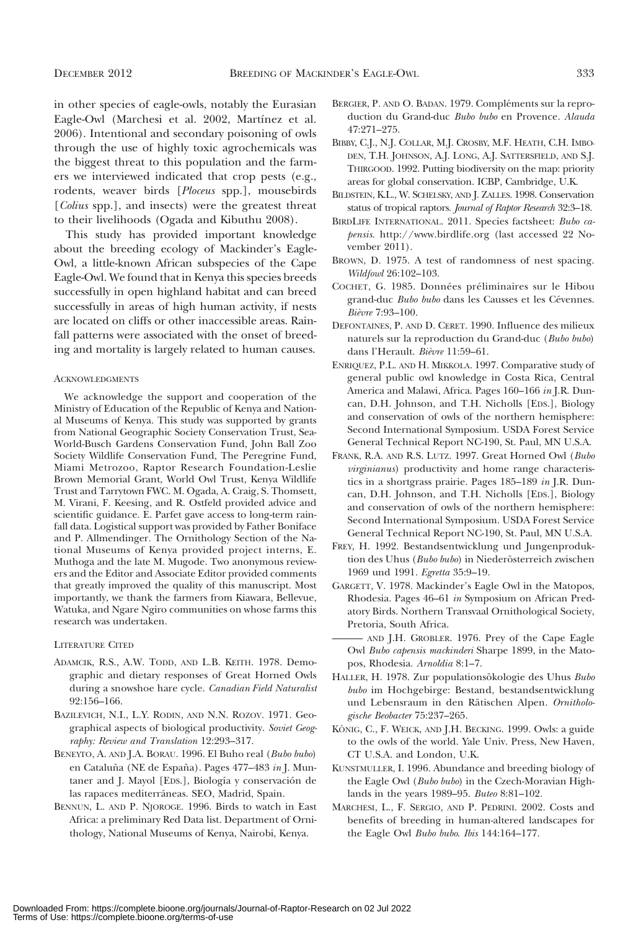in other species of eagle-owls, notably the Eurasian Eagle-Owl (Marchesi et al. 2002, Martínez et al. 2006). Intentional and secondary poisoning of owls through the use of highly toxic agrochemicals was the biggest threat to this population and the farmers we interviewed indicated that crop pests (e.g., rodents, weaver birds [Ploceus spp.], mousebirds [Colius spp.], and insects) were the greatest threat to their livelihoods (Ogada and Kibuthu 2008).

This study has provided important knowledge about the breeding ecology of Mackinder's Eagle-Owl, a little-known African subspecies of the Cape Eagle-Owl. We found that in Kenya this species breeds successfully in open highland habitat and can breed successfully in areas of high human activity, if nests are located on cliffs or other inaccessible areas. Rainfall patterns were associated with the onset of breeding and mortality is largely related to human causes.

#### **ACKNOWLEDGMENTS**

We acknowledge the support and cooperation of the Ministry of Education of the Republic of Kenya and National Museums of Kenya. This study was supported by grants from National Geographic Society Conservation Trust, Sea-World-Busch Gardens Conservation Fund, John Ball Zoo Society Wildlife Conservation Fund, The Peregrine Fund, Miami Metrozoo, Raptor Research Foundation-Leslie Brown Memorial Grant, World Owl Trust, Kenya Wildlife Trust and Tarrytown FWC. M. Ogada, A. Craig, S. Thomsett, M. Virani, F. Keesing, and R. Ostfeld provided advice and scientific guidance. E. Parfet gave access to long-term rainfall data. Logistical support was provided by Father Boniface and P. Allmendinger. The Ornithology Section of the National Museums of Kenya provided project interns, E. Muthoga and the late M. Mugode. Two anonymous reviewers and the Editor and Associate Editor provided comments that greatly improved the quality of this manuscript. Most importantly, we thank the farmers from Kiawara, Bellevue, Watuka, and Ngare Ngiro communities on whose farms this research was undertaken.

#### LITERATURE CITED

- ADAMCIK, R.S., A.W. TODD, AND L.B. KEITH. 1978. Demographic and dietary responses of Great Horned Owls during a snowshoe hare cycle. Canadian Field Naturalist 92:156–166.
- BAZILEVICH, N.I., L.Y. RODIN, AND N.N. ROZOV. 1971. Geographical aspects of biological productivity. Soviet Geography: Review and Translation 12:293–317.
- BENEYTO, A. AND J.A. BORAU. 1996. El Buho real (Bubo bubo) en Cataluña (NE de España). Pages 477-483 in J. Muntaner and J. Mayol [EDS.], Biología y conservación de las rapaces mediterráneas. SEO, Madrid, Spain.
- BENNUN, L. AND P. NJOROGE. 1996. Birds to watch in East Africa: a preliminary Red Data list. Department of Ornithology, National Museums of Kenya, Nairobi, Kenya.
- BERGIER, P. AND O. BADAN. 1979. Compléments sur la reproduction du Grand-duc Bubo bubo en Provence. Alauda 47:271–275.
- BIBBY, C.J., N.J. COLLAR, M.J. CROSBY, M.F. HEATH, C.H. IMBO-DEN, T.H. JOHNSON, A.J. LONG, A.J. SATTERSFIELD, AND S.J. THIRGOOD. 1992. Putting biodiversity on the map: priority areas for global conservation. ICBP, Cambridge, U.K.
- BILDSTEIN, K.L., W. SCHELSKY, AND J. ZALLES. 1998. Conservation status of tropical raptors. Journal of Raptor Research 32:3–18.
- BIRDLIFE INTERNATIONAL. 2011. Species factsheet: Bubo capensis. http://www.birdlife.org (last accessed 22 November 2011).
- BROWN, D. 1975. A test of randomness of nest spacing. Wildfowl 26:102–103.
- COCHET, G. 1985. Données préliminaires sur le Hibou grand-duc Bubo bubo dans les Causses et les Cévennes. Bièvre 7:93-100.
- DEFONTAINES, P. AND D. CERET. 1990. Influence des milieux naturels sur la reproduction du Grand-duc (Bubo bubo) dans l'Herault. Bièvre 11:59-61.
- ENRIQUEZ, P.L. AND H. MIKKOLA. 1997. Comparative study of general public owl knowledge in Costa Rica, Central America and Malawi, Africa. Pages 160–166 in J.R. Duncan, D.H. Johnson, and T.H. Nicholls [EDS.], Biology and conservation of owls of the northern hemisphere: Second International Symposium. USDA Forest Service General Technical Report NC-190, St. Paul, MN U.S.A.
- FRANK, R.A. AND R.S. LUTZ. 1997. Great Horned Owl (Bubo virginianus) productivity and home range characteristics in a shortgrass prairie. Pages 185–189 in J.R. Duncan, D.H. Johnson, and T.H. Nicholls [EDS.], Biology and conservation of owls of the northern hemisphere: Second International Symposium. USDA Forest Service General Technical Report NC-190, St. Paul, MN U.S.A.
- FREY, H. 1992. Bestandsentwicklung und Jungenproduktion des Uhus (Bubo bubo) in Niederösterreich zwischen 1969 und 1991. Egretta 35:9–19.
- GARGETT, V. 1978. Mackinder's Eagle Owl in the Matopos, Rhodesia. Pages 46–61 in Symposium on African Predatory Birds. Northern Transvaal Ornithological Society, Pretoria, South Africa.
	- AND J.H. GROBLER. 1976. Prey of the Cape Eagle Owl Bubo capensis mackinderi Sharpe 1899, in the Matopos, Rhodesia. Arnoldia 8:1–7.
- HALLER, H. 1978. Zur populationsökologie des Uhus Bubo bubo im Hochgebirge: Bestand, bestandsentwicklung und Lebensraum in den Rätischen Alpen. Ornithologische Beobacter 75:237–265.
- KÖNIG, C., F. WEICK, AND J.H. BECKING. 1999. Owls: a guide to the owls of the world. Yale Univ. Press, New Haven, CT U.S.A. and London, U.K.
- KUNSTMULLER, I. 1996. Abundance and breeding biology of the Eagle Owl (Bubo bubo) in the Czech-Moravian Highlands in the years 1989–95. Buteo 8:81–102.
- MARCHESI, L., F. SERGIO, AND P. PEDRINI. 2002. Costs and benefits of breeding in human-altered landscapes for the Eagle Owl Bubo bubo. Ibis 144:164–177.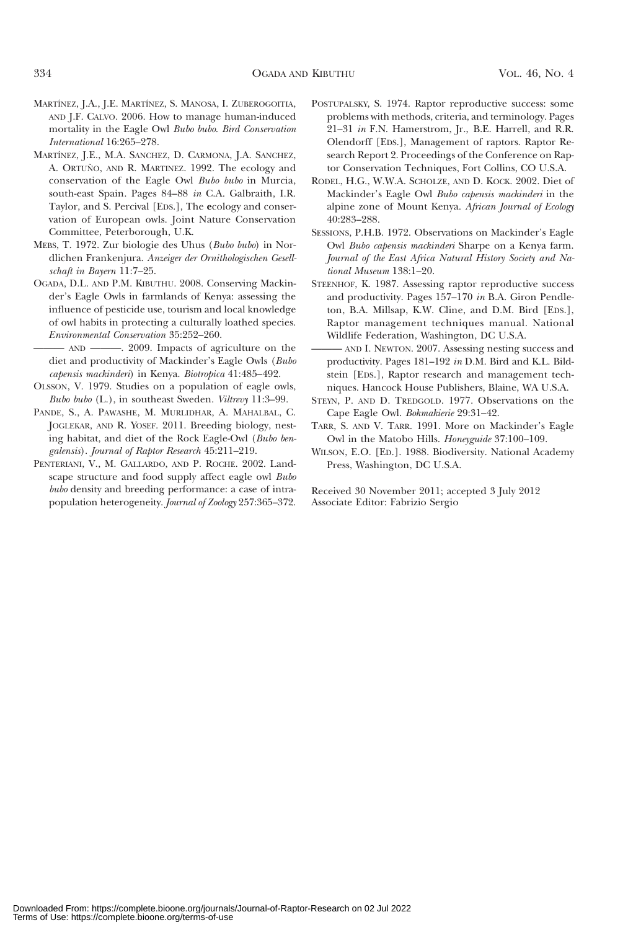- MARTI´NEZ, J.A., J.E. MARTI´NEZ, S. MANOSA, I. ZUBEROGOITIA, AND J.F. CALVO. 2006. How to manage human-induced mortality in the Eagle Owl Bubo bubo. Bird Conservation International 16:265–278.
- MARTÍNEZ, J.E., M.A. SANCHEZ, D. CARMONA, J.A. SANCHEZ, A. ORTUÑO, AND R. MARTINEZ. 1992. The ecology and conservation of the Eagle Owl Bubo bubo in Murcia, south-east Spain. Pages 84–88 in C.A. Galbraith, I.R. Taylor, and S. Percival [EDS.], The ecology and conservation of European owls. Joint Nature Conservation Committee, Peterborough, U.K.
- MEBS, T. 1972. Zur biologie des Uhus (Bubo bubo) in Nordlichen Frankenjura. Anzeiger der Ornithologischen Gesellschaft in Bayern 11:7–25.
- OGADA, D.L. AND P.M. KIBUTHU. 2008. Conserving Mackinder's Eagle Owls in farmlands of Kenya: assessing the influence of pesticide use, tourism and local knowledge of owl habits in protecting a culturally loathed species. Environmental Conservation 35:252–260.
	- AND ---------. 2009. Impacts of agriculture on the diet and productivity of Mackinder's Eagle Owls (Bubo capensis mackinderi) in Kenya. Biotropica 41:485–492.
- OLSSON, V. 1979. Studies on a population of eagle owls, Bubo bubo (L.), in southeast Sweden. Viltrevy 11:3–99.
- PANDE, S., A. PAWASHE, M. MURLIDHAR, A. MAHALBAL, C. JOGLEKAR, AND R. YOSEF. 2011. Breeding biology, nesting habitat, and diet of the Rock Eagle-Owl (Bubo bengalensis). Journal of Raptor Research 45:211–219.
- PENTERIANI, V., M. GALLARDO, AND P. ROCHE. 2002. Landscape structure and food supply affect eagle owl Bubo bubo density and breeding performance: a case of intrapopulation heterogeneity. Journal of Zoology 257:365–372.
- POSTUPALSKY, S. 1974. Raptor reproductive success: some problems with methods, criteria, and terminology. Pages 21–31 in F.N. Hamerstrom, Jr., B.E. Harrell, and R.R. Olendorff [EDS.], Management of raptors. Raptor Research Report 2. Proceedings of the Conference on Raptor Conservation Techniques, Fort Collins, CO U.S.A.
- RODEL, H.G., W.W.A. SCHOLZE, AND D. KOCK. 2002. Diet of Mackinder's Eagle Owl Bubo capensis mackinderi in the alpine zone of Mount Kenya. African Journal of Ecology 40:283–288.
- SESSIONS, P.H.B. 1972. Observations on Mackinder's Eagle Owl Bubo capensis mackinderi Sharpe on a Kenya farm. Journal of the East Africa Natural History Society and National Museum 138:1–20.
- STEENHOF, K. 1987. Assessing raptor reproductive success and productivity. Pages 157–170 in B.A. Giron Pendleton, B.A. Millsap, K.W. Cline, and D.M. Bird [EDS.], Raptor management techniques manual. National Wildlife Federation, Washington, DC U.S.A.
- ——— AND I. NEWTON. 2007. Assessing nesting success and productivity. Pages 181–192 in D.M. Bird and K.L. Bildstein [EDS.], Raptor research and management techniques. Hancock House Publishers, Blaine, WA U.S.A.
- STEYN, P. AND D. TREDGOLD. 1977. Observations on the Cape Eagle Owl. Bokmakierie 29:31–42.
- TARR, S. AND V. TARR. 1991. More on Mackinder's Eagle Owl in the Matobo Hills. Honeyguide 37:100–109.
- WILSON, E.O. [ED.]. 1988. Biodiversity. National Academy Press, Washington, DC U.S.A.
- Received 30 November 2011; accepted 3 July 2012 Associate Editor: Fabrizio Sergio